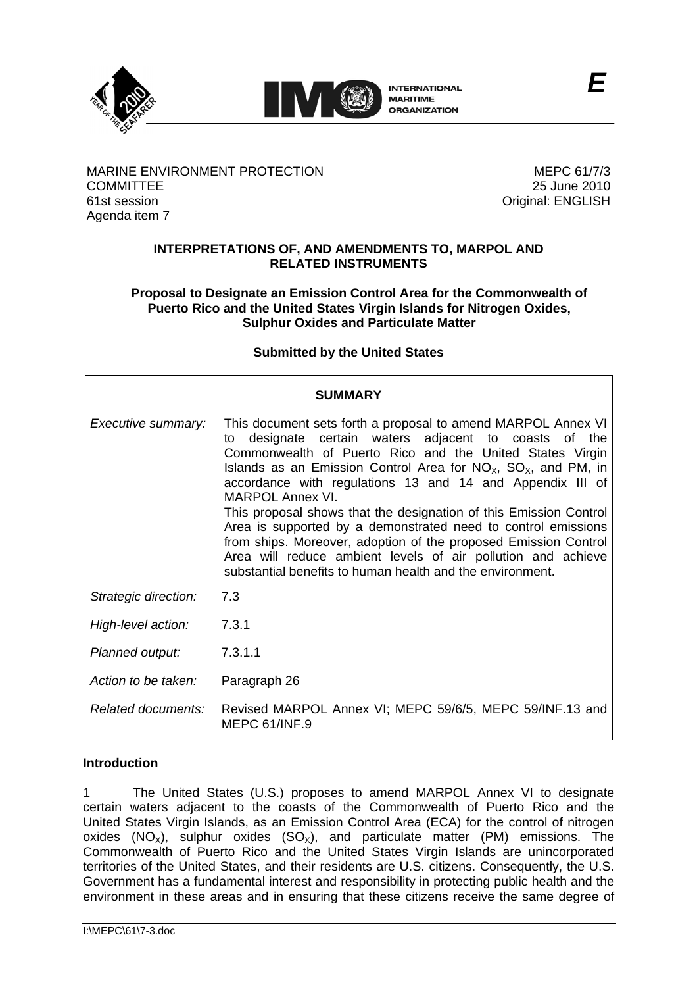



**INTERNATIONAL MARITIME ORGANIZATION** 

MARINE ENVIRONMENT PROTECTION MEPC 61/7/3 COMMITTEE 25 June 2010 61st session Original: ENGLISH Agenda item 7

## **INTERPRETATIONS OF, AND AMENDMENTS TO, MARPOL AND RELATED INSTRUMENTS**

### **Proposal to Designate an Emission Control Area for the Commonwealth of Puerto Rico and the United States Virgin Islands for Nitrogen Oxides, Sulphur Oxides and Particulate Matter**

## **Submitted by the United States**

| SUMMARY              |                                                                                                                                                                                                                                                                                                                                                                                                                                                                                                                                                                                                                                                                                                |  |  |  |  |  |  |  |
|----------------------|------------------------------------------------------------------------------------------------------------------------------------------------------------------------------------------------------------------------------------------------------------------------------------------------------------------------------------------------------------------------------------------------------------------------------------------------------------------------------------------------------------------------------------------------------------------------------------------------------------------------------------------------------------------------------------------------|--|--|--|--|--|--|--|
| Executive summary:   | This document sets forth a proposal to amend MARPOL Annex VI<br>designate certain waters adjacent to coasts of the<br>to<br>Commonwealth of Puerto Rico and the United States Virgin<br>Islands as an Emission Control Area for $NO_{X}$ , $SO_{X}$ , and PM, in<br>accordance with regulations 13 and 14 and Appendix III of<br><b>MARPOL Annex VI.</b><br>This proposal shows that the designation of this Emission Control<br>Area is supported by a demonstrated need to control emissions<br>from ships. Moreover, adoption of the proposed Emission Control<br>Area will reduce ambient levels of air pollution and achieve<br>substantial benefits to human health and the environment. |  |  |  |  |  |  |  |
| Strategic direction: | 7.3                                                                                                                                                                                                                                                                                                                                                                                                                                                                                                                                                                                                                                                                                            |  |  |  |  |  |  |  |
| High-level action:   | 7.3.1                                                                                                                                                                                                                                                                                                                                                                                                                                                                                                                                                                                                                                                                                          |  |  |  |  |  |  |  |
| Planned output:      | 7.3.1.1                                                                                                                                                                                                                                                                                                                                                                                                                                                                                                                                                                                                                                                                                        |  |  |  |  |  |  |  |
| Action to be taken:  | Paragraph 26                                                                                                                                                                                                                                                                                                                                                                                                                                                                                                                                                                                                                                                                                   |  |  |  |  |  |  |  |
| Related documents:   | Revised MARPOL Annex VI; MEPC 59/6/5, MEPC 59/INF.13 and<br>MEPC 61/INF.9                                                                                                                                                                                                                                                                                                                                                                                                                                                                                                                                                                                                                      |  |  |  |  |  |  |  |

## **Introduction**

certain waters adjacent to the coasts of the Commonwealth of Puerto Rico and the The United States (U.S.) proposes to amend MARPOL Annex VI to designate United States Virgin Islands, as an Emission Control Area (ECA) for the control of nitrogen  $\overline{X}$  oxides  $(NO_X)$ , sulphur oxides  $(SO_X)$ , and particulate matter  $(PM)$  emissions. The Commonwealth of Puerto Rico and the United States Virgin Islands are unincorporated territories of the United States, and their residents are U.S. citizens. Consequently, the U.S. Government has a fundamental interest and responsibility in protecting public health and the environment in these areas and in ensuring that these citizens receive the same degree of 1

*E*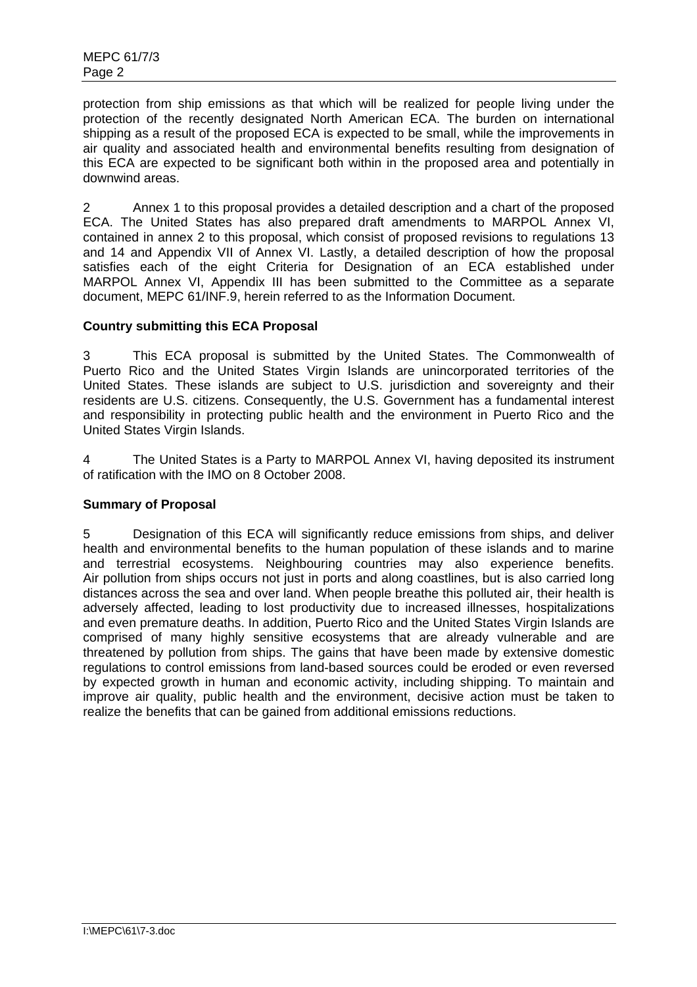protection from ship emissions as that which will be realized for people living under the protection of the recently designated North American ECA. The burden on international shipping as a result of the proposed ECA is expected to be small, while the improvements in air quality and associated health and environmental benefits resulting from designation of this ECA are expected to be significant both within in the proposed area and potentially in downwind areas.

2 Annex 1 to this proposal provides a detailed description and a chart of the proposed ECA. The United States has also prepared draft amendments to MARPOL Annex VI, contained in annex 2 to this proposal, which consist of proposed revisions to regulations 13 and 14 and Appendix VII of Annex VI. Lastly, a detailed description of how the proposal satisfies each of the eight Criteria for Designation of an ECA established under MARPOL Annex VI, Appendix III has been submitted to the Committee as a separate document, MEPC 61/INF.9, herein referred to as the Information Document.

## **Country submitting this ECA Proposal**

This ECA proposal is submitted by the United States. The Commonwealth of Puerto Rico and the United States Virgin Islands are unincorporated territories of the 3 This ECA proposal is submitted by the United States. The Commonwealth of Puerto Rico and the United States Virgin Islands are unincorporated territories of the United States. These islands are subject to U.S. jurisdictio residents are U.S. citizens. Consequently, the U.S. Government has a fundamental interest and responsibility in protecting public health and the environment in Puerto Rico and the United States Virgin Islands.

4 The United States is a Party to MARPOL Annex VI, having deposited its instrument of ratification with the IMO on 8 October 2008.

## **Summary of Proposal**

5 Designation of this ECA will significantly reduce emissions from ships, and deliver health and environmental benefits to the human population of these islands and to marine and terrestrial ecosystems. Neighbouring countries may also experience benefits. Air pollution from ships occurs not just in ports and along coastlines, but is also carried long distances across the sea and over land. When people breathe this polluted air, their health is adversely affected, leading to lost productivity due to increased illnesses, hospitalizations and even premature deaths. In addition, Puerto Rico and the United States Virgin Islands are comprised of many highly sensitive ecosystems that are already vulnerable and are threatened by pollution from ships. The gains that have been made by extensive domestic regulations to control emissions from land-based sources could be eroded or even reversed by expected growth in human and economic activity, including shipping. To maintain and improve air quality, public health and the environment, decisive action must be taken to realize the benefits that can be gained from additional emissions reductions.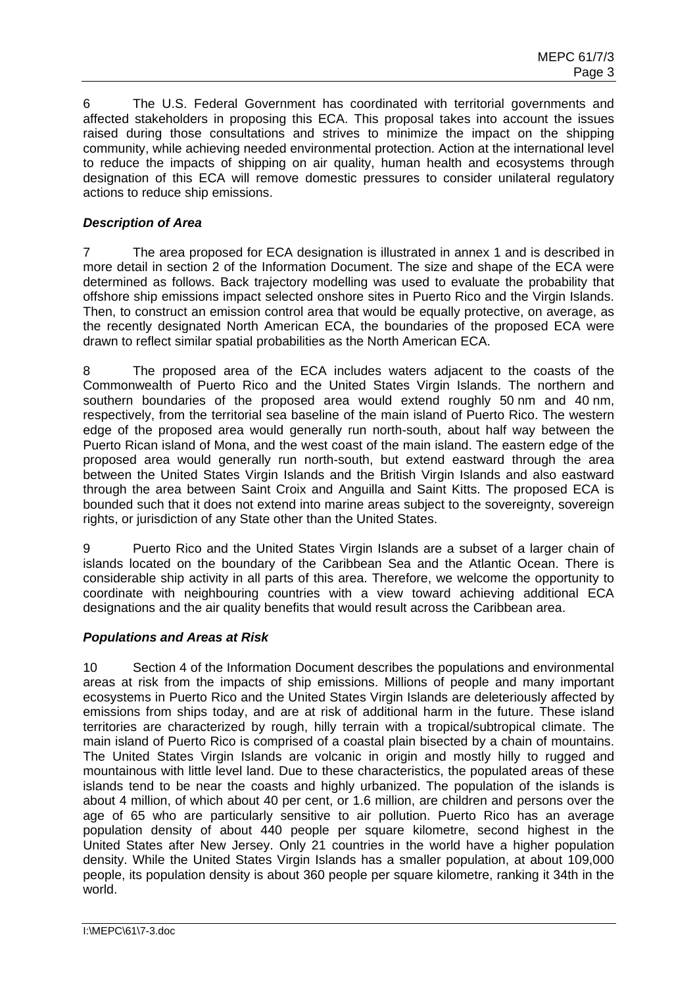6 The U.S. Federal Government has coordinated with territorial governments and affected stakeholders in proposing this ECA. This proposal takes into account the issues raised during those consultations and strives to minimize the impact on the shipping community, while achieving needed environmental protection. Action at the international level to reduce the impacts of shipping on air quality, human health and ecosystems through designation of this ECA will remove domestic pressures to consider unilateral regulatory actions to reduce ship emissions.

## *Description of Area*

7 The area proposed for ECA designation is illustrated in annex 1 and is described in more detail in section 2 of the Information Document. The size and shape of the ECA were determined as follows. Back trajectory modelling was used to evaluate the probability that offshore ship emissions impact selected onshore sites in Puerto Rico and the Virgin Islands. Then, to construct an emission control area that would be equally protective, on average, as the recently designated North American ECA, the boundaries of the proposed ECA were drawn to reflect similar spatial probabilities as the North American ECA.

8 The proposed area of the ECA includes waters adjacent to the coasts of the Commonwealth of Puerto Rico and the United States Virgin Islands. The northern and southern boundaries of the proposed area would extend roughly 50 nm and 40 nm, respectively, from the territorial sea baseline of the main island of Puerto Rico. The western edge of the proposed area would generally run north-south, about half way between the Puerto Rican island of Mona, and the west coast of the main island. The eastern edge of the proposed area would generally run north-south, but extend eastward through the area between the United States Virgin Islands and the British Virgin Islands and also eastward through the area between Saint Croix and Anguilla and Saint Kitts. The proposed ECA is bounded such that it does not extend into marine areas subject to the sovereignty, sovereign rights, or jurisdiction of any State other than the United States.

9 Puerto Rico and the United States Virgin Islands are a subset of a larger chain of islands located on the boundary of the Caribbean Sea and the Atlantic Ocean. There is considerable ship activity in all parts of this area. Therefore, we welcome the opportunity to coordinate with neighbouring countries with a view toward achieving additional ECA designations and the air quality benefits that would result across the Caribbean area.

## *Populations and Areas at Risk*

population density of about 440 people per square kilometre, second highest in the 10 Section 4 of the Information Document describes the populations and environmental areas at risk from the impacts of ship emissions. Millions of people and many important ecosystems in Puerto Rico and the United States Virgin Islands are deleteriously affected by emissions from ships today, and are at risk of additional harm in the future. These island territories are characterized by rough, hilly terrain with a tropical/subtropical climate. The main island of Puerto Rico is comprised of a coastal plain bisected by a chain of mountains. The United States Virgin Islands are volcanic in origin and mostly hilly to rugged and mountainous with little level land. Due to these characteristics, the populated areas of these islands tend to be near the coasts and highly urbanized. The population of the islands is about 4 million, of which about 40 per cent, or 1.6 million, are children and persons over the age of 65 who are particularly sensitive to air pollution. Puerto Rico has an average United States after New Jersey. Only 21 countries in the world have a higher population density. While the United States Virgin Islands has a smaller population, at about 109,000 people, its population density is about 360 people per square kilometre, ranking it 34th in the world.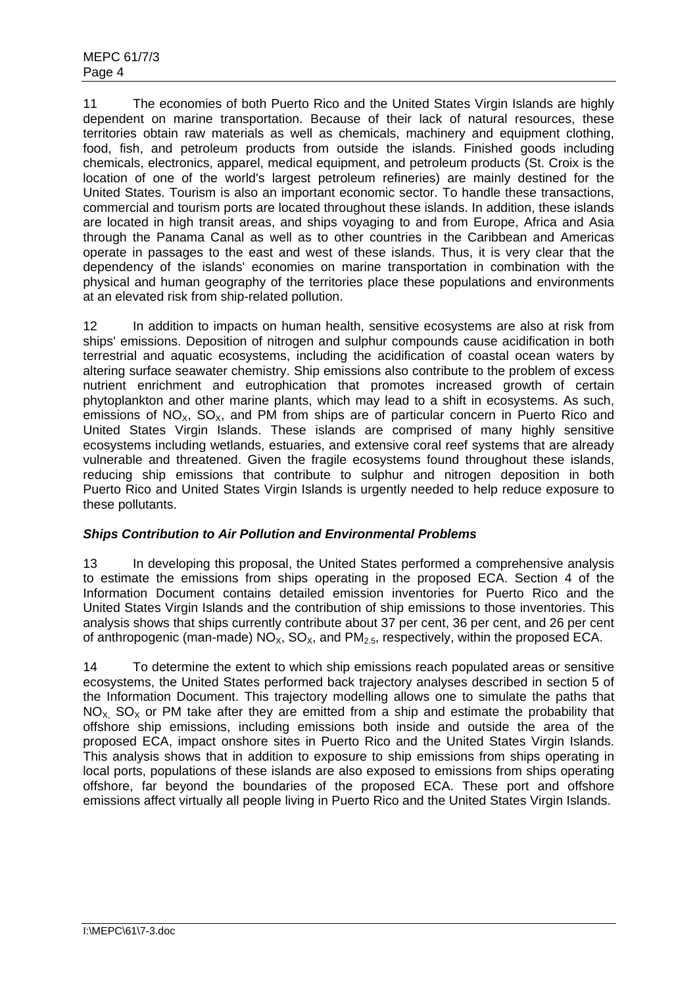11 The economies of both Puerto Rico and the United States Virgin Islands are highly dependent on marine transportation. Because of their lack of natural resources, these territories obtain raw materials as well as chemicals, machinery and equipment clothing, food, fish, and petroleum products from outside the islands. Finished goods including chemicals, electronics, apparel, medical equipment, and petroleum products (St. Croix is the location of one of the world's largest petroleum refineries) are mainly destined for the United States. Tourism is also an important economic sector. To handle these transactions, commercial and tourism ports are located throughout these islands. In addition, these islands are located in high transit areas, and ships voyaging to and from Europe, Africa and Asia through the Panama Canal as well as to other countries in the Caribbean and Americas operate in passages to the east and west of these islands. Thus, it is very clear that the dependency of the islands' economies on marine transportation in combination with the physical and human geography of the territories place these populations and environments at an elevated risk from ship-related pollution.

reducing ship emissions that contribute to sulphur and nitrogen deposition in both 12 In addition to impacts on human health, sensitive ecosystems are also at risk from ships' emissions. Deposition of nitrogen and sulphur compounds cause acidification in both terrestrial and aquatic ecosystems, including the acidification of coastal ocean waters by altering surface seawater chemistry. Ship emissions also contribute to the problem of excess nutrient enrichment and eutrophication that promotes increased growth of certain phytoplankton and other marine plants, which may lead to a shift in ecosystems. As such, emissions of  $NO<sub>x</sub>$ ,  $SO<sub>x</sub>$ , and PM from ships are of particular concern in Puerto Rico and United States Virgin Islands. These islands are comprised of many highly sensitive ecosystems including wetlands, estuaries, and extensive coral reef systems that are already vulnerable and threatened. Given the fragile ecosystems found throughout these islands, Puerto Rico and United States Virgin Islands is urgently needed to help reduce exposure to these pollutants.

# *Ships Contribution to Air Pollution and Environmental Problems*

13 In developing this proposal, the United States performed a comprehensive analysis to estimate the emissions from ships operating in the proposed ECA. Section 4 of the Information Document contains detailed emission inventories for Puerto Rico and the United States Virgin Islands and the contribution of ship emissions to those inventories. This analysis shows that ships currently contribute about 37 per cent, 36 per cent, and 26 per cent of anthropogenic (man-made)  $NO<sub>x</sub>$ ,  $SO<sub>x</sub>$ , and  $PM<sub>2.5</sub>$ , respectively, within the proposed ECA.

14 To determine the extent to which ship emissions reach populated areas or sensitive ecosystems, the United States performed back trajectory analyses described in section 5 of the Information Document. This trajectory modelling allows one to simulate the paths that  $NO<sub>x</sub>$  SO<sub>x</sub> or PM take after they are emitted from a ship and estimate the probability that offshore ship emissions, including emissions both inside and outside the area of the proposed ECA, impact onshore sites in Puerto Rico and the United States Virgin Islands. This analysis shows that in addition to exposure to ship emissions from ships operating in local ports, populations of these islands are also exposed to emissions from ships operating offshore, far beyond the boundaries of the proposed ECA. These port and offshore emissions affect virtually all people living in Puerto Rico and the United States Virgin Islands.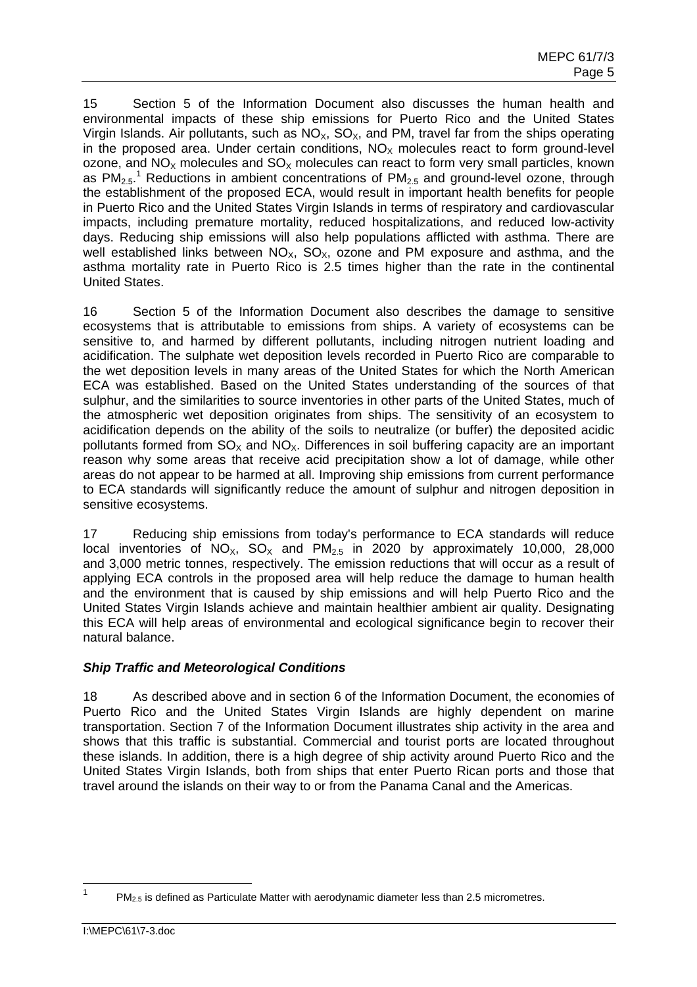15 Section 5 of the Information Document also discusses the human health and environmental impacts of these ship emissions for Puerto Rico and the United States Virgin Islands. Air pollutants, such as  $NO<sub>x</sub>$ ,  $SO<sub>x</sub>$ , and PM, travel far from the ships operating in the proposed area. Under certain conditions,  $NO<sub>x</sub>$  molecules react to form ground-level ozone, and  $NO<sub>x</sub>$  molecules and  $SO<sub>x</sub>$  molecules can react to form very small particles, known as PM<sub>2.5</sub>.<sup>1</sup> Reductions in ambient concentrations of PM<sub>2.5</sub> and ground-level ozone, through the establishment of the proposed ECA, would result in important health benefits for people in Puerto Rico and the United States Virgin Islands in terms of respiratory and cardiovascular impacts, including premature mortality, reduced hospitalizations, and reduced low-activity days. Reducing ship emissions will also help populations afflicted with asthma. There are well established links between  $NO_x$ ,  $SO_x$ , ozone and PM exposure and asthma, and the asthma mortality rate in Puerto Rico is 2.5 times higher than the rate in the continental United States.

16 Section 5 of the Information Document also describes the damage to sensitive ecosystems that is attributable to emissions from ships. A variety of ecosystems can be sensitive to, and harmed by different pollutants, including nitrogen nutrient loading and acidification. The sulphate wet deposition levels recorded in Puerto Rico are comparable to the wet deposition levels in many areas of the United States for which the North American ECA was established. Based on the United States understanding of the sources of that sulphur, and the similarities to source inventories in other parts of the United States, much of the atmospheric wet deposition originates from ships. The sensitivity of an ecosystem to acidification depends on the ability of the soils to neutralize (or buffer) the deposited acidic pollutants formed from  $SO_x$  and  $NO_x$ . Differences in soil buffering capacity are an important reason why some areas that receive acid precipitation show a lot of damage, while other areas do not appear to be harmed at all. Improving ship emissions from current performance to ECA standards will significantly reduce the amount of sulphur and nitrogen deposition in sensitive ecosystems.

local inventories of  $NO_x$ .  $SO_x$  and  $PM_{2.5}$  in 2020 by approximately 10,000, 28,000 and the environment that is caused by ship emissions and will help Puerto Rico and the 17 Reducing ship emissions from today's performance to ECA standards will reduce and 3,000 metric tonnes, respectively. The emission reductions that will occur as a result of applying ECA controls in the proposed area will help reduce the damage to human health United States Virgin Islands achieve and maintain healthier ambient air quality. Designating this ECA will help areas of environmental and ecological significance begin to recover their natural balance.

## *Ship Traffic and Meteorological Conditions*

18 As described above and in section 6 of the Information Document, the economies of Puerto Rico and the United States Virgin Islands are highly dependent on marine transportation. Section 7 of the Information Document illustrates ship activity in the area and shows that this traffic is substantial. Commercial and tourist ports are located throughout these islands. In addition, there is a high degree of ship activity around Puerto Rico and the United States Virgin Islands, both from ships that enter Puerto Rican ports and those that travel around the islands on their way to or from the Panama Canal and the Americas.

 $PM<sub>2.5</sub>$  is defined as Particulate Matter with aerodynamic diameter less than 2.5 micrometres. 1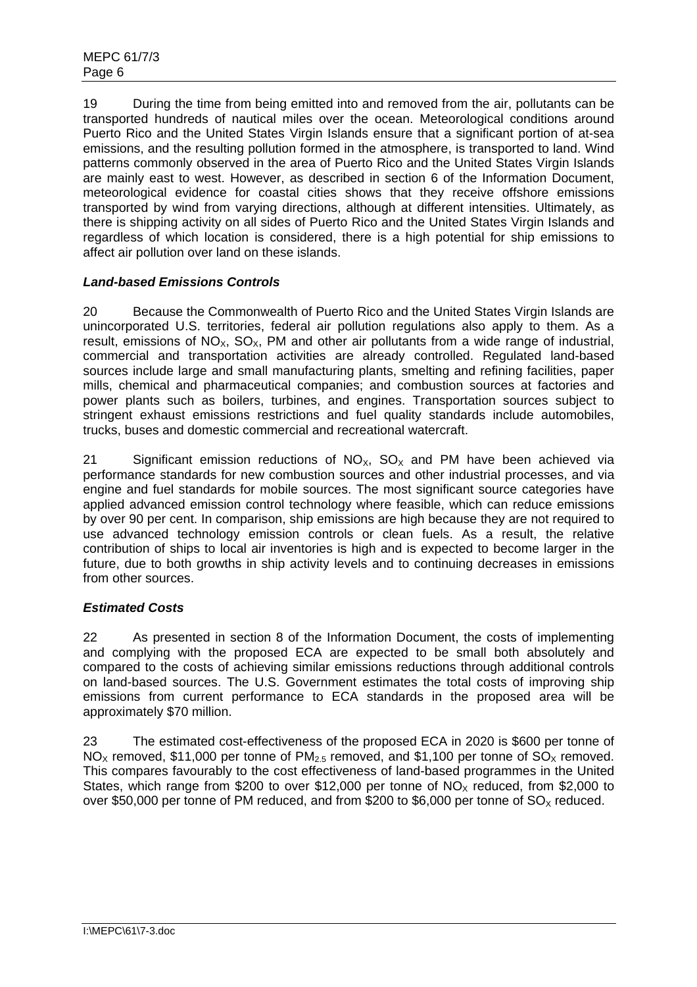19 During the time from being emitted into and removed from the air, pollutants can be transported hundreds of nautical miles over the ocean. Meteorological conditions around Puerto Rico and the United States Virgin Islands ensure that a significant portion of at-sea emissions, and the resulting pollution formed in the atmosphere, is transported to land. Wind patterns commonly observed in the area of Puerto Rico and the United States Virgin Islands are mainly east to west. However, as described in section 6 of the Information Document, meteorological evidence for coastal cities shows that they receive offshore emissions transported by wind from varying directions, although at different intensities. Ultimately, as there is shipping activity on all sides of Puerto Rico and the United States Virgin Islands and regardless of which location is considered, there is a high potential for ship emissions to affect air pollution over land on these islands.

# *Land-based Emissions Controls*

20 Because the Commonwealth of Puerto Rico and the United States Virgin Islands are unincorporated U.S. territories, federal air pollution regulations also apply to them. As a result, emissions of  $NO_x$ ,  $SO_x$ , PM and other air pollutants from a wide range of industrial, commercial and transportation activities are already controlled. Regulated land-based sources include large and small manufacturing plants, smelting and refining facilities, paper mills, chemical and pharmaceutical companies; and combustion sources at factories and power plants such as boilers, turbines, and engines. Transportation sources subject to stringent exhaust emissions restrictions and fuel quality standards include automobiles, trucks, buses and domestic commercial and recreational watercraft.

21 Significant emission reductions of  $NO_x$ ,  $SO_x$  and PM have been achieved via performance standards for new combustion sources and other industrial processes, and via engine and fuel standards for mobile sources. The most significant source categories have applied advanced emission control technology where feasible, which can reduce emissions by over 90 per cent. In comparison, ship emissions are high because they are not required to use advanced technology emission controls or clean fuels. As a result, the relative contribution of ships to local air inventories is high and is expected to become larger in the future, due to both growths in ship activity levels and to continuing decreases in emissions from other sources.

# *Estimated Costs*

22 As presented in section 8 of the Information Document, the costs of implementing and complying with the proposed ECA are expected to be small both absolutely and compared to the costs of achieving similar emissions reductions through additional controls on land-based sources. The U.S. Government estimates the total costs of improving ship emissions from current performance to ECA standards in the proposed area will be approximately \$70 million.

23 The estimated cost-effectiveness of the proposed ECA in 2020 is \$600 per tonne of  $NO<sub>X</sub>$  removed, \$11,000 per tonne of PM<sub>2.5</sub> removed, and \$1,100 per tonne of SO<sub>x</sub> removed. This compares favourably to the cost effectiveness of land-based programmes in the United States, which range from \$200 to over \$12,000 per tonne of  $NO<sub>x</sub>$  reduced, from \$2,000 to over \$50,000 per tonne of PM reduced, and from \$200 to \$6,000 per tonne of  $SO_\chi$  reduced.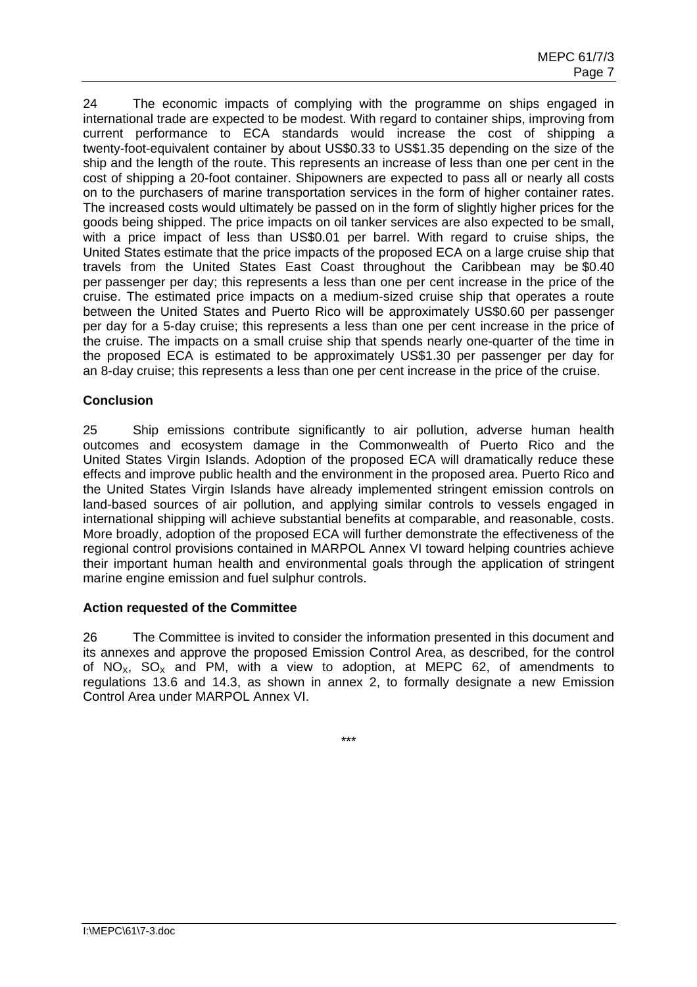current performance to ECA standards would increase the cost of shipping a 24 The economic impacts of complying with the programme on ships engaged in international trade are expected to be modest. With regard to container ships, improving from twenty-foot-equivalent container by about US\$0.33 to US\$1.35 depending on the size of the ship and the length of the route. This represents an increase of less than one per cent in the cost of shipping a 20-foot container. Shipowners are expected to pass all or nearly all costs on to the purchasers of marine transportation services in the form of higher container rates. The increased costs would ultimately be passed on in the form of slightly higher prices for the goods being shipped. The price impacts on oil tanker services are also expected to be small, with a price impact of less than US\$0.01 per barrel. With regard to cruise ships, the United States estimate that the price impacts of the proposed ECA on a large cruise ship that travels from the United States East Coast throughout the Caribbean may be \$0.40 per passenger per day; this represents a less than one per cent increase in the price of the cruise. The estimated price impacts on a medium-sized cruise ship that operates a route between the United States and Puerto Rico will be approximately US\$0.60 per passenger per day for a 5-day cruise; this represents a less than one per cent increase in the price of the cruise. The impacts on a small cruise ship that spends nearly one-quarter of the time in the proposed ECA is estimated to be approximately US\$1.30 per passenger per day for an 8-day cruise; this represents a less than one per cent increase in the price of the cruise.

### **Conclusion**

outcomes and ecosystem damage in the Commonwealth of Puerto Rico and the 25 Ship emissions contribute significantly to air pollution, adverse human health United States Virgin Islands. Adoption of the proposed ECA will dramatically reduce these effects and improve public health and the environment in the proposed area. Puerto Rico and the United States Virgin Islands have already implemented stringent emission controls on land-based sources of air pollution, and applying similar controls to vessels engaged in international shipping will achieve substantial benefits at comparable, and reasonable, costs. More broadly, adoption of the proposed ECA will further demonstrate the effectiveness of the regional control provisions contained in MARPOL Annex VI toward helping countries achieve their important human health and environmental goals through the application of stringent marine engine emission and fuel sulphur controls.

## **Action requested of the Committee**

26 The Committee is invited to consider the information presented in this document and its annexes and approve the proposed Emission Control Area, as described, for the control of NO<sub>x</sub>, SO<sub>x</sub> and PM, with a view to adoption, at MEPC 62, of amendments to regulations 13.6 and 14.3, as shown in annex 2, to formally designate a new Emission Control Area under MARPOL Annex VI.

\*\*\*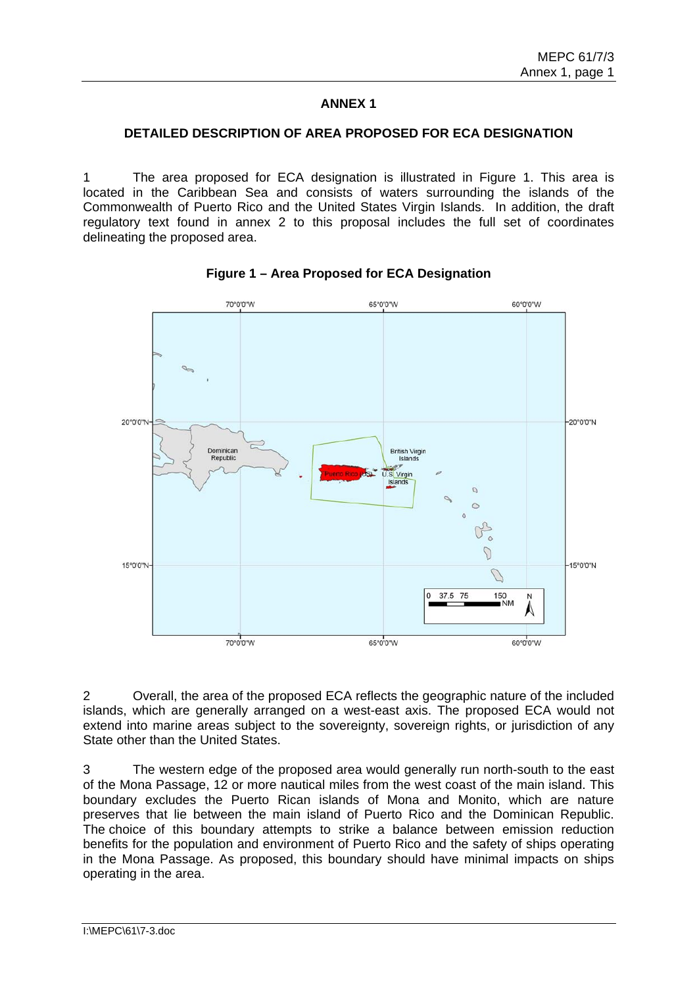## **ANNEX 1**

### **DETAILED DESCRIPTION OF AREA PROPOSED FOR ECA DESIGNATION**

1 The area proposed for ECA designation is illustrated in Figure 1. This area is located in the Caribbean Sea and consists of waters surrounding the islands of the Commonwealth of Puerto Rico and the United States Virgin Islands. In addition, the draft regulatory text found in annex 2 to this proposal includes the full set of coordinates delineating the proposed area.



**Figure 1 – Area Proposed for ECA Designation** 

2 Overall, the area of the proposed ECA reflects the geographic nature of the included islands, which are generally arranged on a west-east axis. The proposed ECA would not extend into marine areas subject to the sovereignty, sovereign rights, or jurisdiction of any State other than the United States.

3 The western edge of the proposed area would generally run north-south to the east of the Mona Passage, 12 or more nautical miles from the west coast of the main island. This boundary excludes the Puerto Rican islands of Mona and Monito, which are nature preserves that lie between the main island of Puerto Rico and the Dominican Republic. The choice of this boundary attempts to strike a balance between emission reduction benefits for the population and environment of Puerto Rico and the safety of ships operating in the Mona Passage. As proposed, this boundary should have minimal impacts on ships operating in the area.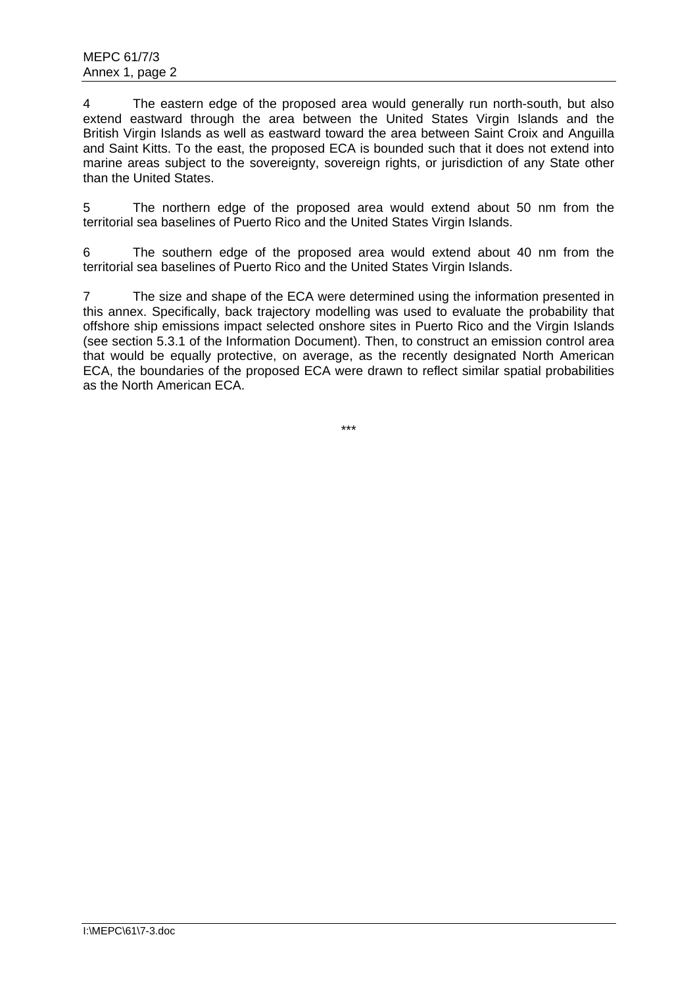extend eastward through the area between the United States Virgin Islands and the 4 The eastern edge of the proposed area would generally run north-south, but also British Virgin Islands as well as eastward toward the area between Saint Croix and Anguilla and Saint Kitts. To the east, the proposed ECA is bounded such that it does not extend into marine areas subject to the sovereignty, sovereign rights, or jurisdiction of any State other than the United States.

5 The northern edge of the proposed area would extend about 50 nm from the territorial sea baselines of Puerto Rico and the United States Virgin Islands.

6 The southern edge of the proposed area would extend about 40 nm from the territorial sea baselines of Puerto Rico and the United States Virgin Islands.

7 The size and shape of the ECA were determined using the information presented in this annex. Specifically, back trajectory modelling was used to evaluate the probability that offshore ship emissions impact selected onshore sites in Puerto Rico and the Virgin Islands (see section 5.3.1 of the Information Document). Then, to construct an emission control area that would be equally protective, on average, as the recently designated North American ECA, the boundaries of the proposed ECA were drawn to reflect similar spatial probabilities as the North American ECA.

\*\*\*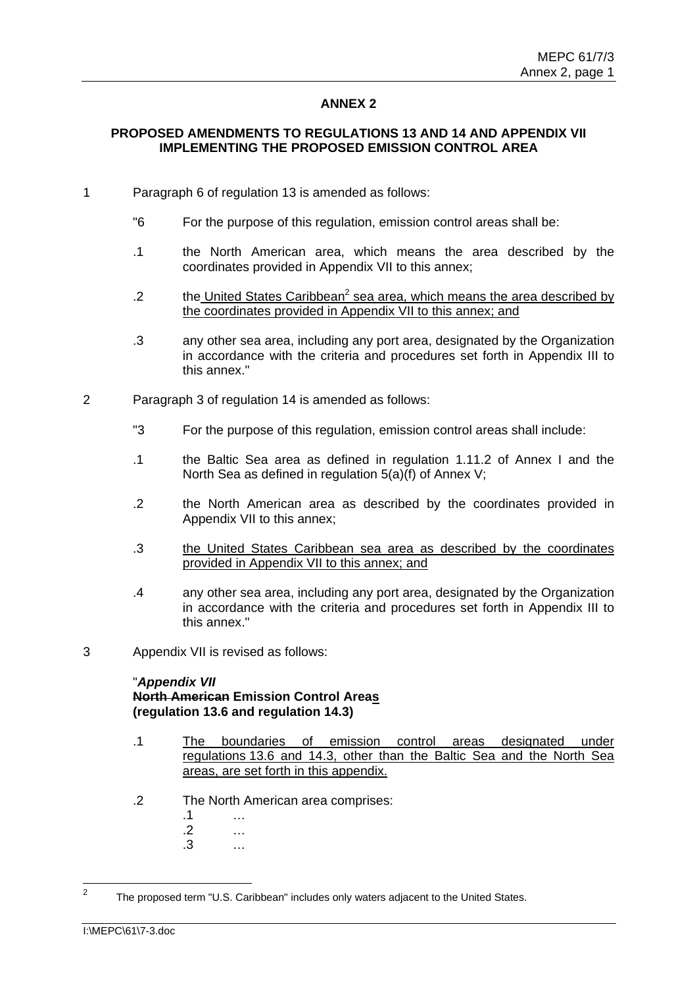### **ANNEX 2**

## **PROPOSED AMENDMENTS TO REGULATIONS 13 AND 14 AND APPENDIX VII IMPLEMENTING THE PROPOSED EMISSION CONTROL AREA**

- 1 Paragraph 6 of regulation 13 is amended as follows:
	- "6 For the purpose of this regulation, emission control areas shall be:
	- .1 the North American area, which means the area described by the coordinates provided in Appendix VII to this annex;
	- 2 the United States Caribbean<sup>2</sup> sea area, which means the area described by the coordinates provided in Appendix VII to this annex; and
	- .3 any other sea area, including any port area, designated by the Organization in accordance with the criteria and procedures set forth in Appendix III to this annex."
- 2 Paragraph 3 of regulation 14 is amended as follows:
	- "3 For the purpose of this regulation, emission control areas shall include:
	- .1 the Baltic Sea area as defined in regulation 1.11.2 of Annex I and the North Sea as defined in regulation 5(a)(f) of Annex V;
	- .2 the North American area as described by the coordinates provided in Appendix VII to this annex;
	- .3 the United States Caribbean sea area as described by the coordinates provided in Appendix VII to this annex; and
	- .4 any other sea area, including any port area, designated by the Organization in accordance with the criteria and procedures set forth in Appendix III to this annex."
- 3 Appendix VII is revised as follows:

#### "*Appendix VII*

# **(regulation 13.6 and regulation 14.3) North American Emission Control Areas**

- .1 The boundaries of emission control areas designated under regulations 13.6 and 14.3, other than the Baltic Sea and the North Sea areas, are set forth in this appendix.
- .2 The North American area comprises:
	- .1 …
	- .2 …
	- .3 …

 $\overline{2}$ The proposed term "U.S. Caribbean" includes only waters adjacent to the United States.